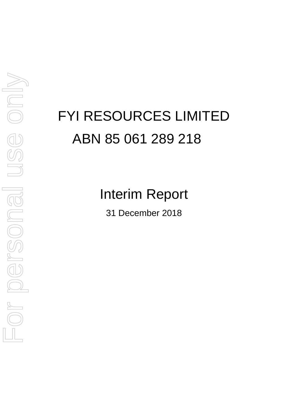# FYI RESOURCES LIMITED ABN 85 061 289 218

Interim Report

31 December 2018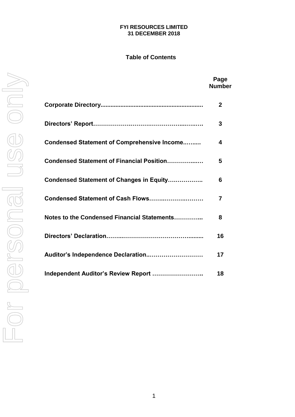# **FYI RESOURCES LIMITED 31 DECEMBER 2018**

**Page Number**

|                     | <b>Corp</b>  |
|---------------------|--------------|
|                     | <b>Direc</b> |
| ((                  | Cond         |
|                     | Cond         |
|                     | Cond         |
|                     | Cond         |
|                     | <b>Notes</b> |
|                     | <b>Direc</b> |
|                     | <b>Audit</b> |
|                     | Indep        |
| $\leq$              |              |
| $\widetilde{\zeta}$ |              |
|                     |              |

|                                                    | 2 <sup>1</sup> |
|----------------------------------------------------|----------------|
|                                                    | 3              |
| <b>Condensed Statement of Comprehensive Income</b> | 4              |
| Condensed Statement of Financial Position          | 5              |
| Condensed Statement of Changes in Equity           | 6              |
| Condensed Statement of Cash Flows                  | $\overline{7}$ |
| Notes to the Condensed Financial Statements        | 8              |
|                                                    | 16             |
| Auditor's Independence Declaration                 | 17             |
| Independent Auditor's Review Report                | 18             |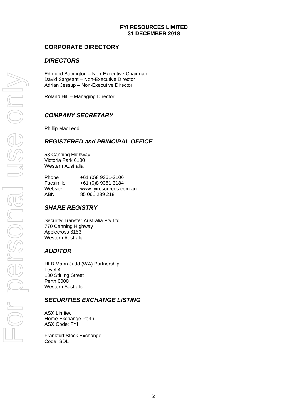# **FYI RESOURCES LIMITED 31 DECEMBER 2018**

# **CORPORATE DIRECTORY**

# *DIRECTORS*

Edmund Babington – Non-Executive Chairman David Sargeant – Non-Executive Director Adrian Jessup – Non-Executive Director

Roland Hill – Managing Director

# *COMPANY SECRETARY*

Phillip MacLeod

# *REGISTERED and PRINCIPAL OFFICE*

53 Canning Highway Victoria Park 6100 Western Australia

| <b>Phone</b> | +61 (0)8 9361-3100      |
|--------------|-------------------------|
| Facsimile    | +61 (0)8 9361-3184      |
| Website      | www.fyiresources.com.au |
| ABN          | 85 061 289 218          |

# *SHARE REGISTRY*

Security Transfer Australia Pty Ltd 770 Canning Highway Applecross 6153 Western Australia

# *AUDITOR*

HLB Mann Judd (WA) Partnership Level 4 130 Stirling Street Perth 6000 Western Australia

# *SECURITIES EXCHANGE LISTING*

ASX Limited Home Exchange Perth ASX Code: FYI

Frankfurt Stock Exchange Code: SDL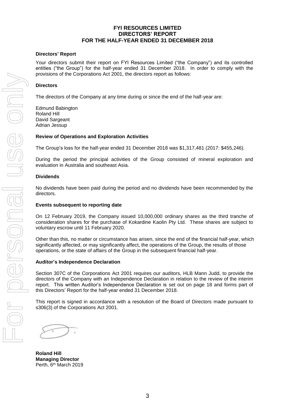# **FYI RESOURCES LIMITED DIRECTORS' REPORT FOR THE HALF-YEAR ENDED 31 DECEMBER 2018**

#### **Directors' Report**

Your directors submit their report on FYI Resources Limited ("the Company") and its controlled entities ("the Group") for the half-year ended 31 December 2018. In order to comply with the provisions of the Corporations Act 2001, the directors report as follows:

#### **Directors**

The directors of the Company at any time during or since the end of the half-year are:

Edmund Babington Roland Hill David Sargeant Adrian Jessup

#### **Review of Operations and Exploration Activities**

The Group's loss for the half-year ended 31 December 2018 was \$1,317,481 (2017: \$455,246).

During the period the principal activities of the Group consisted of mineral exploration and evaluation in Australia and southeast Asia.

#### **Dividends**

No dividends have been paid during the period and no dividends have been recommended by the directors.

#### **Events subsequent to reporting date**

On 12 February 2019, the Company issued 10,000,000 ordinary shares as the third tranche of consideration shares for the purchase of Kokardine Kaolin Pty Ltd. These shares are subject to voluntary escrow until 11 February 2020.

Other than this, no matter or circumstance has arisen, since the end of the financial half-year, which significantly affected, or may significantly affect, the operations of the Group, the results of those operations, or the state of affairs of the Group in the subsequent financial half-year.

#### **Auditor's Independence Declaration**

Section 307C of the Corporations Act 2001 requires our auditors, HLB Mann Judd, to provide the directors of the Company with an Independence Declaration in relation to the review of the interim report. This written Auditor's Independence Declaration is set out on page 18 and forms part of this Directors' Report for the half-year ended 31 December 2018.

This report is signed in accordance with a resolution of the Board of Directors made pursuant to s306(3) of the Corporations Act 2001.

**Roland Hill Managing Director** Perth, 6<sup>th</sup> March 2019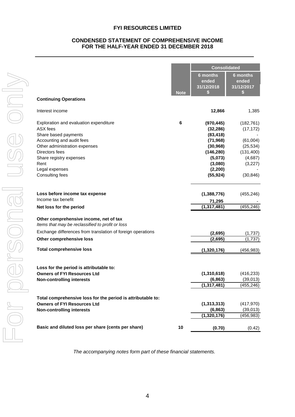# **CONDENSED STATEMENT OF COMPREHENSIVE INCOME FOR THE HALF-YEAR ENDED 31 DECEMBER 2018**

|                                                                                                                                       |             | <b>Consolidated</b>                             |                                                |
|---------------------------------------------------------------------------------------------------------------------------------------|-------------|-------------------------------------------------|------------------------------------------------|
|                                                                                                                                       | <b>Note</b> | <b>6 months</b><br>ended<br>31/12/2018<br>\$    | <b>6 months</b><br>ended<br>31/12/2017<br>S    |
| <b>Continuing Operations</b>                                                                                                          |             |                                                 |                                                |
| Interest income                                                                                                                       |             | 12,866                                          | 1,385                                          |
| Exploration and evaluation expenditure<br><b>ASX</b> fees<br>Share based payments                                                     | 6           | (970, 445)<br>(32, 286)<br>(83, 418)            | (182, 761)<br>(17, 172)                        |
| Accounting and audit fees<br>Other administration expenses<br>Directors fees<br>Share registry expenses                               |             | (71, 968)<br>(30, 968)<br>(146, 280)<br>(5,073) | (61,004)<br>(25, 534)<br>(131, 400)<br>(4,687) |
| Rent<br>Legal expenses<br>Consulting fees                                                                                             |             | (3,080)<br>(2,200)<br>(55, 924)                 | (3,227)<br>(30, 846)                           |
| Loss before income tax expense<br>Income tax benefit                                                                                  |             | (1,388,776)                                     | (455, 246)                                     |
| Net loss for the period                                                                                                               |             | 71,295<br>(1,317,481)                           | (455, 246)                                     |
| Other comprehensive income, net of tax<br>Items that may be reclassified to profit or loss                                            |             |                                                 |                                                |
| Exchange differences from translation of foreign operations                                                                           |             | (2,695)                                         | (1,737)                                        |
| Other comprehensive loss                                                                                                              |             | (2,695)                                         | (1,737)                                        |
| <b>Total comprehensive loss</b>                                                                                                       |             | (1,320,176)                                     | (456, 983)                                     |
| Loss for the period is attributable to:                                                                                               |             |                                                 |                                                |
| <b>Owners of FYI Resources Ltd</b><br><b>Non-controlling interests</b>                                                                |             | (1,310,618)<br>(6, 863)<br>(1,317,481)          | (416, 233)<br>(39,013)<br>(455,246)            |
| Total comprehensive loss for the period is attributable to:<br><b>Owners of FYI Resources Ltd</b><br><b>Non-controlling interests</b> |             | (1, 313, 313)<br>(6, 863)                       | (417, 970)<br>(39, 013)                        |
|                                                                                                                                       |             | (1,320,176)                                     | (456, 983)                                     |
| Basic and diluted loss per share (cents per share)                                                                                    | 10          | (0.70)                                          | (0.42)                                         |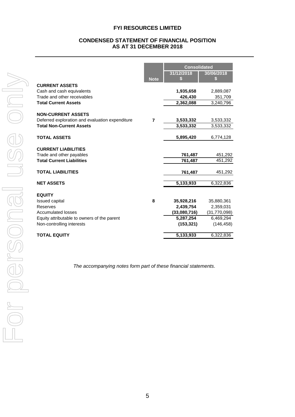# **FYI RESOURCES LIMITED**

#### **CONDENSED STATEMENT OF FINANCIAL POSITION AS AT 31 DECEMBER 2018**

|                                                    |             | <b>Consolidated</b> |              |
|----------------------------------------------------|-------------|---------------------|--------------|
|                                                    |             | 31/12/2018          | 30/06/2018   |
|                                                    | <b>Note</b> | \$                  | \$           |
| <b>CURRENT ASSETS</b><br>Cash and cash equivalents |             | 1,935,658           | 2,889,087    |
| Trade and other receivables                        |             | 426,430             | 351,709      |
| <b>Total Current Assets</b>                        |             | 2,362,088           | 3,240,796    |
|                                                    |             |                     |              |
| <b>NON-CURRENT ASSETS</b>                          |             |                     |              |
| Deferred exploration and evaluation expenditure    | 7           | 3,533,332           | 3,533,332    |
| <b>Total Non-Current Assets</b>                    |             | 3,533,332           | 3,533,332    |
|                                                    |             |                     |              |
| <b>TOTAL ASSETS</b>                                |             | 5,895,420           | 6,774,128    |
| <b>CURRENT LIABILITIES</b>                         |             |                     |              |
| Trade and other payables                           |             | 761,487             | 451,292      |
| <b>Total Current Liabilities</b>                   |             | 761,487             | 451,292      |
|                                                    |             |                     |              |
| <b>TOTAL LIABILITIES</b>                           |             | 761,487             | 451,292      |
|                                                    |             |                     |              |
| <b>NET ASSETS</b>                                  |             | 5,133,933           | 6,322,836    |
| <b>EQUITY</b>                                      |             |                     |              |
| <b>Issued capital</b>                              | 8           | 35,928,216          | 35,880,361   |
| <b>Reserves</b>                                    |             | 2,439,754           | 2,359,031    |
| <b>Accumulated losses</b>                          |             | (33,080,716)        | (31,770,098) |
| Equity attributable to owners of the parent        |             | 5,287,254           | 6,469,294    |
| Non-controlling interests                          |             | (153, 321)          | (146, 458)   |
|                                                    |             |                     |              |
| <b>TOTAL EQUITY</b>                                |             | 5,133,933           | 6,322,836    |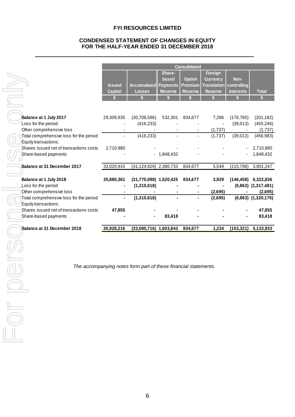# **FYI RESOURCES LIMITED**

# **CONDENSED STATEMENT OF CHANGES IN EQUITY FOR THE HALF-YEAR ENDED 31 DECEMBER 2018**

|                                                                 | <b>Consolidated</b> |                            |                 |                |                    |                  |                         |
|-----------------------------------------------------------------|---------------------|----------------------------|-----------------|----------------|--------------------|------------------|-------------------------|
|                                                                 |                     |                            | Share-          |                | <b>Foreign</b>     |                  |                         |
|                                                                 |                     |                            | based           | <b>Option</b>  | <b>Currency</b>    | Non-             |                         |
|                                                                 | <b>Issued</b>       | <b>Accumulated</b>         | <b>Payments</b> | <b>Premium</b> | <b>Translation</b> | controlling      |                         |
|                                                                 | <b>Capital</b>      | <b>Losses</b>              | <b>Reserve</b>  | <b>Reserve</b> | <b>Reserve</b>     | <b>interests</b> | <b>Total</b>            |
|                                                                 | S                   | S.                         | S               |                |                    | S                | S.                      |
|                                                                 |                     |                            |                 |                |                    |                  |                         |
|                                                                 |                     |                            |                 |                |                    |                  |                         |
| Balance at 1 July 2017                                          | 29,309,935          | (30,708,596)               | 532,301         | 834,677        | 7,286              | (176, 785)       | (201, 182)              |
| Loss for the period                                             |                     | (416, 233)                 |                 |                |                    | (39,013)         | (455, 246)              |
| Other comprehensive loss                                        |                     |                            |                 |                | (1,737)            |                  | (1,737)                 |
| Total comprehensive loss for the period<br>Equity transactions: |                     | (416, 233)                 |                 | $\blacksquare$ | (1,737)            | (39,013)         | (456, 983)              |
| Shares issued net of transactions costs                         | 2,710,980           |                            |                 |                |                    |                  | 2,710,980               |
| Share-based payments                                            |                     |                            | $-1.848.432$    |                |                    |                  | 1,848,432               |
| Balance at 31 December 2017                                     | 32,020,915          | $(31, 124, 829)$ 2,380,733 |                 | 834,677        | 5,549              | (215, 798)       | 3,901,247               |
| Balance at 1 July 2018                                          | 35,880,361          | (31,770,098) 1,520,425     |                 | 834.677        | 3,929              | (146, 458)       | 6,322,836               |
| Loss for the period                                             |                     | (1,310,618)                |                 |                |                    |                  | $(6,863)$ $(1,317,481)$ |
| Other comprehensive loss                                        |                     |                            |                 |                | (2,695)            |                  | (2,695)                 |
| Total comprehensive loss for the period<br>Equity transactions: | ٠                   | (1,310,618)                |                 |                | (2,695)            |                  | $(6,863)$ $(1,320,176)$ |
| Shares issued net of transactions costs                         | 47,855              |                            |                 |                |                    |                  | 47,855                  |
| Share-based payments                                            |                     |                            | 83,418          |                |                    |                  | 83,418                  |
| Balance at 31 December 2018                                     | 35,928,216          | $(33,080,716)$ 1,603,843   |                 | 834,677        | 1,234              | (153, 321)       | 5,133,933               |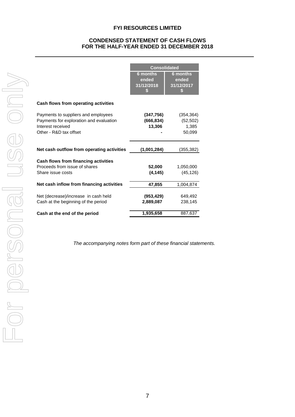# **FYI RESOURCES LIMITED**

# **CONDENSED STATEMENT OF CASH FLOWS FOR THE HALF-YEAR ENDED 31 DECEMBER 2018**

|                                                                                                                               | <b>Consolidated</b>                         |                                            |
|-------------------------------------------------------------------------------------------------------------------------------|---------------------------------------------|--------------------------------------------|
|                                                                                                                               | <b>6 months</b><br>ended<br>31/12/2018<br>S | 6 months<br>ended<br>31/12/2017<br>S       |
| Cash flows from operating activities                                                                                          |                                             |                                            |
| Payments to suppliers and employees<br>Payments for exploration and evaluation<br>Interest received<br>Other - R&D tax offset | (347, 756)<br>(666, 834)<br>13,306          | (354, 364)<br>(52, 502)<br>1,385<br>50,099 |
| Net cash outflow from operating activities                                                                                    | (1,001,284)                                 | (355, 382)                                 |
| Cash flows from financing activities<br>Proceeds from issue of shares<br>Share issue costs                                    | 52,000<br>(4, 145)                          | 1,050,000<br>(45, 126)                     |
| Net cash inflow from financing activities                                                                                     | 47,855                                      | 1,004,874                                  |
| Net (decrease)/increase in cash held<br>Cash at the beginning of the period                                                   | (953, 429)<br>2,889,087                     | 649.492<br>238,145                         |
| Cash at the end of the period                                                                                                 | 1,935,658                                   | 887,637                                    |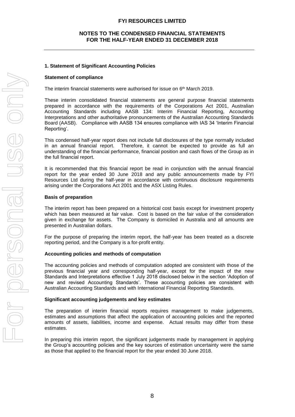#### **1. Statement of Significant Accounting Policies**

#### **Statement of compliance**

The interim financial statements were authorised for issue on 6<sup>th</sup> March 2019.

These interim consolidated financial statements are general purpose financial statements prepared in accordance with the requirements of the Corporations Act 2001, Australian Accounting Standards including AASB 134: Interim Financial Reporting, Accounting Interpretations and other authoritative pronouncements of the Australian Accounting Standards Board (AASB). Compliance with AASB 134 ensures compliance with IAS 34 'Interim Financial Reporting'.

This condensed half-year report does not include full disclosures of the type normally included in an annual financial report. Therefore, it cannot be expected to provide as full an understanding of the financial performance, financial position and cash flows of the Group as in the full financial report.

It is recommended that this financial report be read in conjunction with the annual financial report for the year ended 30 June 2018 and any public announcements made by FYI Resources Ltd during the half-year in accordance with continuous disclosure requirements arising under the Corporations Act 2001 and the ASX Listing Rules.

#### **Basis of preparation**

The interim report has been prepared on a historical cost basis except for investment property which has been measured at fair value. Cost is based on the fair value of the consideration given in exchange for assets. The Company is domiciled in Australia and all amounts are presented in Australian dollars.

For the purpose of preparing the interim report, the half-year has been treated as a discrete reporting period, and the Company is a for-profit entity.

#### **Accounting policies and methods of computation**

The accounting policies and methods of computation adopted are consistent with those of the previous financial year and corresponding half-year, except for the impact of the new Standards and Interpretations effective 1 July 2018 disclosed below in the section 'Adoption of new and revised Accounting Standards'. These accounting policies are consistent with Australian Accounting Standards and with International Financial Reporting Standards.

#### **Significant accounting judgements and key estimates**

The preparation of interim financial reports requires management to make judgements, estimates and assumptions that affect the application of accounting policies and the reported amounts of assets, liabilities, income and expense. Actual results may differ from these estimates.

In preparing this interim report, the significant judgements made by management in applying the Group's accounting policies and the key sources of estimation uncertainty were the same as those that applied to the financial report for the year ended 30 June 2018.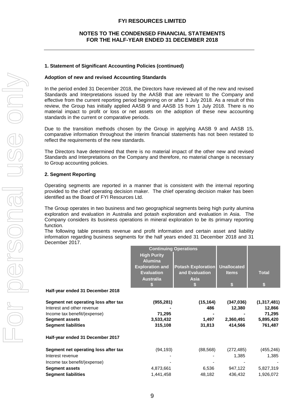#### **1. Statement of Significant Accounting Policies (continued)**

#### **Adoption of new and revised Accounting Standards**

In the period ended 31 December 2018, the Directors have reviewed all of the new and revised Standards and Interpretations issued by the AASB that are relevant to the Company and effective from the current reporting period beginning on or after 1 July 2018. As a result of this review, the Group has initially applied AASB 9 and AASB 15 from 1 July 2018. There is no material impact to profit or loss or net assets on the adoption of these new accounting standards in the current or comparative periods.

Due to the transition methods chosen by the Group in applying AASB 9 and AASB 15, comparative information throughout the interim financial statements has not been restated to reflect the requirements of the new standards.

The Directors have determined that there is no material impact of the other new and revised Standards and Interpretations on the Company and therefore, no material change is necessary to Group accounting policies.

#### **2. Segment Reporting**

Operating segments are reported in a manner that is consistent with the internal reporting provided to the chief operating decision maker. The chief operating decision maker has been identified as the Board of FYI Resources Ltd.

The Group operates in two business and two geographical segments being high purity alumina exploration and evaluation in Australia and potash exploration and evaluation in Asia. The Company considers its business operations in mineral exploration to be its primary reporting function.

The following table presents revenue and profit information and certain asset and liability information regarding business segments for the half years ended 31 December 2018 and 31 December 2017.

|                                      |                        | <b>Continuing Operations</b> |                    |              |
|--------------------------------------|------------------------|------------------------------|--------------------|--------------|
|                                      | <b>High Purity</b>     |                              |                    |              |
|                                      | <b>Alumina</b>         |                              |                    |              |
|                                      | <b>Exploration and</b> | <b>Potash Exploration</b>    | <b>Unallocated</b> |              |
|                                      | <b>Evaluation</b>      | and Evaluation               | <b>Items</b>       | <b>Total</b> |
|                                      | <b>Australia</b>       | <b>Asia</b>                  |                    |              |
|                                      | S                      |                              | \$                 | \$           |
| Half-year ended 31 December 2018     |                        |                              |                    |              |
| Segment net operating loss after tax | (955, 281)             | (15, 164)                    | (347, 036)         | (1,317,481)  |
| Interest and other revenue           |                        | 486                          | 12,380             | 12,866       |
| Income tax benefit/(expense)         | 71,295                 |                              |                    | 71,295       |
| <b>Segment assets</b>                | 3,533,432              | 1,497                        | 2,360,491          | 5,895,420    |
| <b>Segment liabilities</b>           | 315,108                | 31,813                       | 414,566            | 761,487      |
| Half-year ended 31 December 2017     |                        |                              |                    |              |
| Segment net operating loss after tax | (94, 193)              | (88, 568)                    | (272, 485)         | (455, 246)   |
| Interest revenue                     |                        |                              | 1,385              | 1,385        |
| Income tax benefit/(expense)         |                        |                              |                    |              |
| <b>Segment assets</b>                | 4,873,661              | 6,536                        | 947,122            | 5,827,319    |
| <b>Segment liabilities</b>           | 1,441,458              | 48,182                       | 436,432            | 1,926,072    |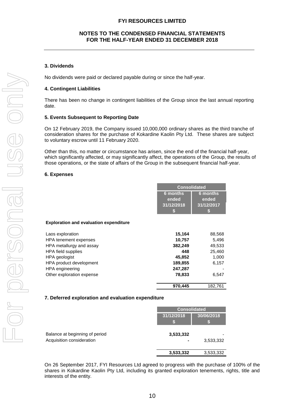#### **3. Dividends**

No dividends were paid or declared payable during or since the half-year.

#### **4. Contingent Liabilities**

There has been no change in contingent liabilities of the Group since the last annual reporting date.

#### **5. Events Subsequent to Reporting Date**

On 12 February 2019, the Company issued 10,000,000 ordinary shares as the third tranche of consideration shares for the purchase of Kokardine Kaolin Pty Ltd. These shares are subject to voluntary escrow until 11 February 2020.

Other than this, no matter or circumstance has arisen, since the end of the financial half-year, which significantly affected, or may significantly affect, the operations of the Group, the results of those operations, or the state of affairs of the Group in the subsequent financial half-year.

#### **6. Expenses**

|                                               | <b>Consolidated</b>                         |                                 |
|-----------------------------------------------|---------------------------------------------|---------------------------------|
|                                               | <b>6 months</b><br>ended<br>31/12/2018<br>S | 6 months<br>ended<br>31/12/2017 |
| <b>Exploration and evaluation expenditure</b> |                                             |                                 |
| Laos exploration                              | 15,164                                      | 88,568                          |
| HPA tenement expenses                         | 10,757                                      | 5,496                           |
| HPA metallurgy and assay                      | 382,249                                     | 49,533                          |
| <b>HPA field supplies</b>                     | 448                                         | 25,460                          |
| HPA geologist                                 | 45,852                                      | 1,000                           |
| HPA product development                       | 189,855                                     | 6,157                           |
| HPA engineering                               | 247,287                                     |                                 |
| Other exploration expense                     | 78,833                                      | 6,547                           |
|                                               | 970,445                                     | 182,761                         |

#### **7. Deferred exploration and evaluation expenditure**

|                                                             |            | <b>Consolidated</b> |
|-------------------------------------------------------------|------------|---------------------|
|                                                             | 31/12/2018 | 30/06/2018          |
| Balance at beginning of period<br>Acquisition consideration | 3,533,332  | 3,533,332           |
|                                                             | 3,533,332  | 3,533,332           |

On 26 September 2017, FYI Resources Ltd agreed to progress with the purchase of 100% of the shares in Kokardine Kaolin Pty Ltd, including its granted exploration tenements, rights, title and interests of the entity.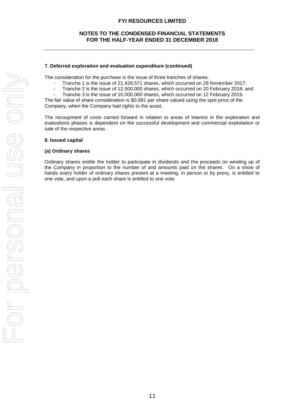#### **7. Deferred exploration and evaluation expenditure (continued)**

The consideration for the purchase is the issue of three tranches of shares:

- Tranche 1 is the issue of 21,428,571 shares, which occurred on 29 November 2017;
- Tranche 2 is the issue of 12,500,000 shares, which occurred on 20 February 2018; and
- Tranche 3 is the issue of 10,000,000 shares, which occurred on 12 February 2019. The fair value of share consideration is \$0.081 per share valued using the spot price of the Company, when the Company had rights to the asset.

The recoupment of costs carried forward in relation to areas of interest in the exploration and evaluations phases is dependent on the successful development and commercial exploitation or sale of the respective areas.

#### **8. Issued capital**

#### **(a) Ordinary shares**

Ordinary shares entitle the holder to participate in dividends and the proceeds on winding up of the Company in proportion to the number of and amounts paid on the shares. On a show of hands every holder of ordinary shares present at a meeting, in person or by proxy, is entitled to one vote, and upon a poll each share is entitled to one vote.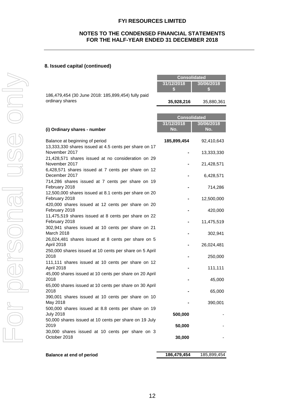#### **8. Issued capital (continued)**

|                                                                                                                           | <b>Consolidated</b> |                   |
|---------------------------------------------------------------------------------------------------------------------------|---------------------|-------------------|
|                                                                                                                           | 31/12/2018<br>\$    | 30/06/2018<br>S   |
| 186,479,454 (30 June 2018: 185,899,454) fully paid<br>ordinary shares                                                     | 35,928,216          | 35,880,361        |
|                                                                                                                           |                     |                   |
|                                                                                                                           | <b>Consolidated</b> |                   |
| (i) Ordinary shares - number                                                                                              | 31/12/2018<br>No.   | 30/06/2018<br>No. |
| Balance at beginning of period                                                                                            | 185,899,454         | 92,410,643        |
| 13,333,330 shares issued at 4.5 cents per share on 17<br>November 2017                                                    |                     | 13,333,330        |
| 21,428,571 shares issued at no consideration on 29<br>November 2017                                                       |                     | 21,428,571        |
| 6,428,571 shares issued at 7 cents per share on 12<br>December 2017                                                       |                     | 6,428,571         |
| 714,286 shares issued at 7 cents per share on 19<br>February 2018                                                         |                     | 714,286           |
| 12,500,000 shares issued at 8.1 cents per share on 20<br>February 2018                                                    |                     | 12,500,000        |
| 420,000 shares issued at 12 cents per share on 20<br>February 2018<br>11,475,519 shares issued at 8 cents per share on 22 |                     | 420,000           |
| February 2018                                                                                                             |                     | 11,475,519        |
| 302,941 shares issued at 10 cents per share on 21<br>March 2018                                                           |                     | 302,941           |
| 26,024,481 shares issued at 8 cents per share on 5<br>April 2018                                                          |                     | 26,024,481        |
| 250,000 shares issued at 10 cents per share on 5 April<br>2018                                                            |                     | 250,000           |
| 111,111 shares issued at 10 cents per share on 12<br>April 2018                                                           |                     | 111,111           |
| 45,000 shares issued at 10 cents per share on 20 April<br>2018<br>65,000 shares issued at 10 cents per share on 30 April  |                     | 45,000            |
| 2018<br>390,001 shares issued at 10 cents per share on 10                                                                 |                     | 65,000            |
| May 2018<br>500,000 shares issued at 8.8 cents per share on 19                                                            |                     | 390,001           |
| <b>July 2018</b><br>50,000 shares issued at 10 cents per share on 19 July                                                 | 500,000             |                   |
| 2019<br>30,000 shares issued at 10 cents per share on 3                                                                   | 50,000              |                   |
| October 2018                                                                                                              | 30,000              |                   |
|                                                                                                                           |                     |                   |

**Balance at end of period 186,479,454** 185,899,454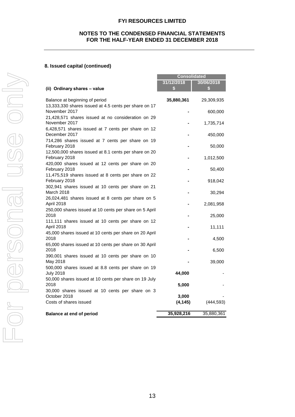#### **8. Issued capital (continued)**

|                                                                                                                                 |                 | <b>Consolidated</b> |
|---------------------------------------------------------------------------------------------------------------------------------|-----------------|---------------------|
| (ii) Ordinary shares - value                                                                                                    | 31/12/2018<br>S | 30/06/2018<br>S     |
| Balance at beginning of period                                                                                                  | 35,880,361      | 29,309,935          |
| 13,333,330 shares issued at 4.5 cents per share on 17<br>November 2017                                                          |                 | 600,000             |
| 21,428,571 shares issued at no consideration on 29<br>November 2017                                                             |                 | 1,735,714           |
| 6,428,571 shares issued at 7 cents per share on 12<br>December 2017                                                             |                 | 450,000             |
| 714,286 shares issued at 7 cents per share on 19<br>February 2018                                                               |                 | 50,000              |
| 12,500,000 shares issued at 8.1 cents per share on 20<br>February 2018<br>420,000 shares issued at 12 cents per share on 20     |                 | 1,012,500           |
| February 2018<br>11,475,519 shares issued at 8 cents per share on 22                                                            |                 | 50,400              |
| February 2018<br>302,941 shares issued at 10 cents per share on 21                                                              |                 | 918,042             |
| March 2018                                                                                                                      |                 | 30,294              |
| 26,024,481 shares issued at 8 cents per share on 5<br>April 2018                                                                |                 | 2,081,958           |
| 250,000 shares issued at 10 cents per share on 5 April<br>2018                                                                  |                 | 25,000              |
| 111,111 shares issued at 10 cents per share on 12<br>April 2018                                                                 |                 | 11,111              |
| 45,000 shares issued at 10 cents per share on 20 April<br>2018                                                                  |                 | 4,500               |
| 65,000 shares issued at 10 cents per share on 30 April<br>2018                                                                  |                 | 6,500               |
| 390,001 shares issued at 10 cents per share on 10<br>May 2018                                                                   |                 | 39,000              |
| 500,000 shares issued at 8.8 cents per share on 19<br><b>July 2018</b><br>50,000 shares issued at 10 cents per share on 19 July | 44,000          |                     |
| 2018                                                                                                                            | 5,000           |                     |
| 30,000 shares issued at 10 cents per share on 3<br>October 2018                                                                 | 3,000           |                     |
| Costs of shares issued                                                                                                          | (4, 145)        | (444, 593)          |
| <b>Balance at end of period</b>                                                                                                 | 35,928,216      | 35,880,361          |
|                                                                                                                                 |                 |                     |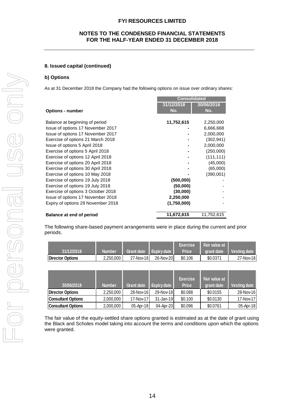#### **8. Issued capital (continued)**

#### **b) Options**

| As at 31 December 2018 the Company had the following options on issue over ordinary shares:<br><b>Options - number</b><br>Balance at beginning of period |                                                                                |                                                                                                                                                                                                                                                                                                                                                                                                                                                        | 31/12/2018                                  | <b>Consolidated</b>                          | 30/06/2018                                                                                  |                                                                                                                                                                                     |
|----------------------------------------------------------------------------------------------------------------------------------------------------------|--------------------------------------------------------------------------------|--------------------------------------------------------------------------------------------------------------------------------------------------------------------------------------------------------------------------------------------------------------------------------------------------------------------------------------------------------------------------------------------------------------------------------------------------------|---------------------------------------------|----------------------------------------------|---------------------------------------------------------------------------------------------|-------------------------------------------------------------------------------------------------------------------------------------------------------------------------------------|
|                                                                                                                                                          |                                                                                |                                                                                                                                                                                                                                                                                                                                                                                                                                                        |                                             |                                              |                                                                                             |                                                                                                                                                                                     |
|                                                                                                                                                          |                                                                                |                                                                                                                                                                                                                                                                                                                                                                                                                                                        |                                             |                                              |                                                                                             |                                                                                                                                                                                     |
|                                                                                                                                                          |                                                                                |                                                                                                                                                                                                                                                                                                                                                                                                                                                        | No.                                         |                                              | No.                                                                                         |                                                                                                                                                                                     |
|                                                                                                                                                          |                                                                                |                                                                                                                                                                                                                                                                                                                                                                                                                                                        |                                             | 11,752,615                                   | 2,250,000                                                                                   |                                                                                                                                                                                     |
| Issue of options 17 November 2017                                                                                                                        |                                                                                |                                                                                                                                                                                                                                                                                                                                                                                                                                                        |                                             |                                              | 6,666,668                                                                                   |                                                                                                                                                                                     |
| Issue of options 17 November 2017                                                                                                                        |                                                                                |                                                                                                                                                                                                                                                                                                                                                                                                                                                        |                                             |                                              | 2,000,000                                                                                   |                                                                                                                                                                                     |
| Exercise of options 21 March 2018                                                                                                                        |                                                                                |                                                                                                                                                                                                                                                                                                                                                                                                                                                        |                                             |                                              | (302, 941)                                                                                  |                                                                                                                                                                                     |
|                                                                                                                                                          |                                                                                |                                                                                                                                                                                                                                                                                                                                                                                                                                                        |                                             |                                              |                                                                                             |                                                                                                                                                                                     |
|                                                                                                                                                          |                                                                                |                                                                                                                                                                                                                                                                                                                                                                                                                                                        |                                             |                                              |                                                                                             |                                                                                                                                                                                     |
|                                                                                                                                                          |                                                                                |                                                                                                                                                                                                                                                                                                                                                                                                                                                        |                                             |                                              |                                                                                             |                                                                                                                                                                                     |
|                                                                                                                                                          |                                                                                |                                                                                                                                                                                                                                                                                                                                                                                                                                                        |                                             |                                              | (65,000)                                                                                    |                                                                                                                                                                                     |
|                                                                                                                                                          |                                                                                |                                                                                                                                                                                                                                                                                                                                                                                                                                                        |                                             |                                              | (390,001)                                                                                   |                                                                                                                                                                                     |
|                                                                                                                                                          |                                                                                |                                                                                                                                                                                                                                                                                                                                                                                                                                                        |                                             |                                              |                                                                                             |                                                                                                                                                                                     |
| Exercise of options 19 July 2018                                                                                                                         |                                                                                |                                                                                                                                                                                                                                                                                                                                                                                                                                                        |                                             |                                              |                                                                                             |                                                                                                                                                                                     |
|                                                                                                                                                          |                                                                                |                                                                                                                                                                                                                                                                                                                                                                                                                                                        |                                             |                                              |                                                                                             |                                                                                                                                                                                     |
|                                                                                                                                                          |                                                                                |                                                                                                                                                                                                                                                                                                                                                                                                                                                        | (1,750,000)                                 |                                              |                                                                                             |                                                                                                                                                                                     |
|                                                                                                                                                          |                                                                                |                                                                                                                                                                                                                                                                                                                                                                                                                                                        |                                             |                                              | 11,752,615                                                                                  |                                                                                                                                                                                     |
|                                                                                                                                                          |                                                                                |                                                                                                                                                                                                                                                                                                                                                                                                                                                        |                                             |                                              |                                                                                             |                                                                                                                                                                                     |
|                                                                                                                                                          |                                                                                |                                                                                                                                                                                                                                                                                                                                                                                                                                                        |                                             | <b>Exercise</b>                              | Fair value at                                                                               |                                                                                                                                                                                     |
|                                                                                                                                                          |                                                                                |                                                                                                                                                                                                                                                                                                                                                                                                                                                        |                                             |                                              |                                                                                             | <b>Vesting date</b>                                                                                                                                                                 |
|                                                                                                                                                          |                                                                                |                                                                                                                                                                                                                                                                                                                                                                                                                                                        |                                             |                                              |                                                                                             | 27-Nov-18                                                                                                                                                                           |
|                                                                                                                                                          |                                                                                |                                                                                                                                                                                                                                                                                                                                                                                                                                                        |                                             |                                              |                                                                                             |                                                                                                                                                                                     |
|                                                                                                                                                          |                                                                                |                                                                                                                                                                                                                                                                                                                                                                                                                                                        |                                             | <b>Exercise</b>                              | Fair value at                                                                               |                                                                                                                                                                                     |
| 30/06/2018                                                                                                                                               | <b>Number</b>                                                                  | <b>Grant date</b>                                                                                                                                                                                                                                                                                                                                                                                                                                      | <b>Expiry date</b>                          | <b>Price</b>                                 | grant date                                                                                  | <b>Vesting date</b>                                                                                                                                                                 |
| <b>Director Options</b>                                                                                                                                  | 2,250,000                                                                      | 28-Nov-16                                                                                                                                                                                                                                                                                                                                                                                                                                              | 29-Nov-18                                   | \$0.088                                      | \$0.0155                                                                                    | 28-Nov-16                                                                                                                                                                           |
| <b>Consultant Options</b>                                                                                                                                | 2,000,000                                                                      | 17-Nov-17                                                                                                                                                                                                                                                                                                                                                                                                                                              | 31-Jan-19                                   | \$0.100                                      | \$0.0130                                                                                    | 17-Nov-17                                                                                                                                                                           |
|                                                                                                                                                          |                                                                                |                                                                                                                                                                                                                                                                                                                                                                                                                                                        |                                             |                                              |                                                                                             | 05-Apr-18                                                                                                                                                                           |
|                                                                                                                                                          | periods.<br>31/12/2018<br><b>Director Options</b><br><b>Consultant Options</b> | Issue of options 5 April 2018<br>Exercise of options 5 April 2018<br>Exercise of options 12 April 2018<br>Exercise of options 20 April 2018<br>Exercise of options 30 April 2018<br>Exercise of options 10 May 2018<br>Exercise of options 19 July 2018<br>Exercise of options 3 October 2018<br>Issue of options 17 November 2018<br>Expiry of options 29 November 2018<br><b>Balance at end of period</b><br><b>Number</b><br>2,250,000<br>2,000,000 | <b>Grant date</b><br>27-Nov-18<br>05-Apr-18 | <b>Expiry date</b><br>26-Nov-20<br>04-Apr-20 | (500,000)<br>(50,000)<br>(30,000)<br>2,250,000<br>11,672,615<br>Price<br>\$0.106<br>\$0.096 | 2,000,000<br>(250,000)<br>(111, 111)<br>(45,000)<br>The following share-based payment arrangements were in place during the current and prior<br>grant date<br>\$0.0371<br>\$0.0761 |

|                  |               |           |                                    | <b>Exercise</b> | Fair value at |              |
|------------------|---------------|-----------|------------------------------------|-----------------|---------------|--------------|
| 31/12/2018       | <b>Number</b> |           | Grant date $\parallel$ Expiry date | <b>Price</b>    | i grant date` | Vesting date |
| Director Options | 2.250.000     | 27-Nov-18 | 26-Nov-20                          | \$0.106         | \$0.0371      | 27-Nov-18    |

|                           |               |                   |              | <b>Exercise</b> | Fair value at |                     |
|---------------------------|---------------|-------------------|--------------|-----------------|---------------|---------------------|
| 30/06/2018                | <b>Number</b> | <b>Grant date</b> | Expiry date  | <b>Price</b>    | grant date    | <b>Vesting date</b> |
| <b>Director Options</b>   | 2,250,000     | 28-Nov-16         | 29-Nov-18    | \$0.088         | \$0.0155      | 28-Nov-16           |
| <b>Consultant Options</b> | 2,000,000     | 17-Nov-17         | $31$ -Jan-19 | \$0.100         | \$0.0130      | 17-Nov-17           |
| <b>Consultant Options</b> | 2,000,000     | 05-Apr-18         | 04-Apr-20    | \$0.096         | \$0.0761      | 05-Apr-18           |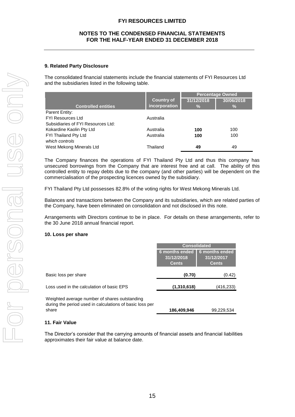#### **9. Related Party Disclosure**

The consolidated financial statements include the financial statements of FYI Resources Ltd and the subsidiaries listed in the following table.

|                                        |                                    |                    | <b>Percentage Owned</b> |  |
|----------------------------------------|------------------------------------|--------------------|-------------------------|--|
| <b>Controlled entities</b>             | <b>Country of</b><br>incorporation | 31/12/2018<br>$\%$ | 30/06/2018<br>%         |  |
| Parent Entity:                         |                                    |                    |                         |  |
| <b>FYI Resources Ltd</b>               | Australia                          |                    |                         |  |
| Subsidiaries of FYI Resources Ltd:     |                                    |                    |                         |  |
| Kokardine Kaolin Pty Ltd               | Australia                          | 100                | 100                     |  |
| FYI Thailand Pty Ltd<br>which controls | Australia                          | 100                | 100                     |  |
| West Mekong Minerals Ltd               | Thailand                           | 49                 | 49                      |  |

The Company finances the operations of FYI Thailand Pty Ltd and thus this company has unsecured borrowings from the Company that are interest free and at call. The ability of this controlled entity to repay debts due to the company (and other parties) will be dependent on the commercialisation of the prospecting licences owned by the subsidiary.

FYI Thailand Pty Ltd possesses 82.8% of the voting rights for West Mekong Minerals Ltd.

Balances and transactions between the Company and its subsidiaries, which are related parties of the Company, have been eliminated on consolidation and not disclosed in this note.

Arrangements with Directors continue to be in place. For details on these arrangements, refer to the 30 June 2018 annual financial report.

#### **10. Loss per share**

|                                                                                                           | <b>Consolidated</b>                          |                                              |  |
|-----------------------------------------------------------------------------------------------------------|----------------------------------------------|----------------------------------------------|--|
|                                                                                                           | 6 months ended<br>31/12/2018<br><b>Cents</b> | 6 months ended<br>31/12/2017<br><b>Cents</b> |  |
| Basic loss per share                                                                                      | (0.70)                                       | (0.42)                                       |  |
| Loss used in the calculation of basic EPS                                                                 | (1,310,618)                                  | (416,233)                                    |  |
| Weighted average number of shares outstanding<br>during the period used in calculations of basic loss per |                                              |                                              |  |
| share                                                                                                     | 186,409,946                                  | 99,229,534                                   |  |

#### **11. Fair Value**

The Director's consider that the carrying amounts of financial assets and financial liabilities approximates their fair value at balance date.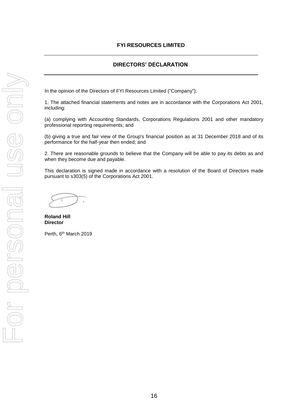# **DIRECTORS' DECLARATION**

In the opinion of the Directors of FYI Resources Limited ("Company"):

1. The attached financial statements and notes are in accordance with the Corporations Act 2001, including:

(a) complying with Accounting Standards, Corporations Regulations 2001 and other mandatory professional reporting requirements; and

(b) giving a true and fair view of the Group's financial position as at 31 December 2018 and of its performance for the half-year then ended; and

2. There are reasonable grounds to believe that the Company will be able to pay its debts as and when they become due and payable.

This declaration is signed made in accordance with a resolution of the Board of Directors made pursuant to s303(5) of the Corporations Act 2001.

**Roland Hill Director**

Perth, 6<sup>th</sup> March 2019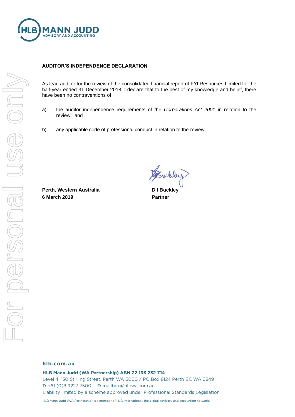

#### **AUDITOR'S INDEPENDENCE DECLARATION**

As lead auditor for the review of the consolidated financial report of FYI Resources Limited for the half-year ended 31 December 2018, I declare that to the best of my knowledge and belief, there have been no contraventions of:

- a) the auditor independence requirements of the *Corporations Act 2001* in relation to the review; and
- b) any applicable code of professional conduct in relation to the review.

**Perth, Western Australia 6 March 2019**

Buckley

**D I Buckley Partner**

#### hlb.com.au

HLB Mann Judd (WA Partnership) ABN 22 193 232 714 Level 4, 130 Stirling Street, Perth WA 6000 / PO Box 8124 Perth BC WA 6849 T: +61 (0)8 9227 7500 E: mailbox@hlbwa.com.au Liability limited by a scheme approved under Professional Standards Legislation.

HLB Mann Judd (WA Partnership) is a member of HLB International, the global advisory and accounting network.

# For personal use only ISS ONN ICROSCISON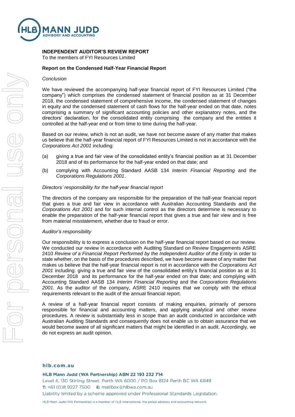

#### **INDEPENDENT AUDITOR'S REVIEW REPORT**

To the members of FYI Resources Limited

#### **Report on the Condensed Half-Year Financial Report**

#### *Conclusion*

We have reviewed the accompanying half-year financial report of FYI Resources Limited ("the company") which comprises the condensed statement of financial position as at 31 December 2018, the condensed statement of comprehensive income, the condensed statement of changes in equity and the condensed statement of cash flows for the half-year ended on that date, notes comprising a summary of significant accounting policies and other explanatory notes, and the directors' declaration, for the consolidated entity comprising the company and the entities it controlled at the half-year end or from time to time during the half-year.

Based on our review, which is not an audit, we have not become aware of any matter that makes us believe that the half-year financial report of FYI Resources Limited is not in accordance with the *Corporations Act 2001* including:

- (a) giving a true and fair view of the consolidated entity's financial position as at 31 December 2018 and of its performance for the half-year ended on that date; and
- (b) complying with Accounting Standard AASB 134 *Interim Financial Reporting* and the *Corporations Regulations 2001*.

#### *Directors' responsibility for the half-year financial report*

The directors of the company are responsible for the preparation of the half-year financial report that gives a true and fair view in accordance with Australian Accounting Standards and the *Corporations Act 2001* and for such internal control as the directors determine is necessary to enable the preparation of the half-year financial report that gives a true and fair view and is free from material misstatement, whether due to fraud or error.

#### *Auditor's responsibility*

Our responsibility is to express a conclusion on the half-year financial report based on our review. We conducted our review in accordance with Auditing Standard on Review Engagements ASRE 2410 *Review of a Financial Report Performed by the Independent Auditor of the Entity* in order to state whether, on the basis of the procedures described, we have become aware of any matter that makes us believe that the half-year financial report is not in accordance with the *Corporations Act 2001* including: giving a true and fair view of the consolidated entity's financial position as at 31 December 2018 and its performance for the half-year ended on that date; and complying with Accounting Standard AASB 134 *Interim Financial Reporting* and the *Corporations Regulations 2001*. As the auditor of the company, ASRE 2410 requires that we comply with the ethical requirements relevant to the audit of the annual financial report.

A review of a half-year financial report consists of making enquiries, primarily of persons responsible for financial and accounting matters, and applying analytical and other review procedures. A review is substantially less in scope than an audit conducted in accordance with Australian Auditing Standards and consequently does not enable us to obtain assurance that we would become aware of all significant matters that might be identified in an audit. Accordingly, we do not express an audit opinion.

#### hlb.com.au

HLB Mann Judd (WA Partnership) ABN 22 193 232 714

Level 4, 130 Stirling Street, Perth WA 6000 / PO Box 8124 Perth BC WA 6849 T: +61 (0)8 9227 7500 E: mailbox@hlbwa.com.au Liability limited by a scheme approved under Professional Standards Legislation.

HLB Mann Judd (WA Partnership) is a member of HLB International, the global advisory and accounting network